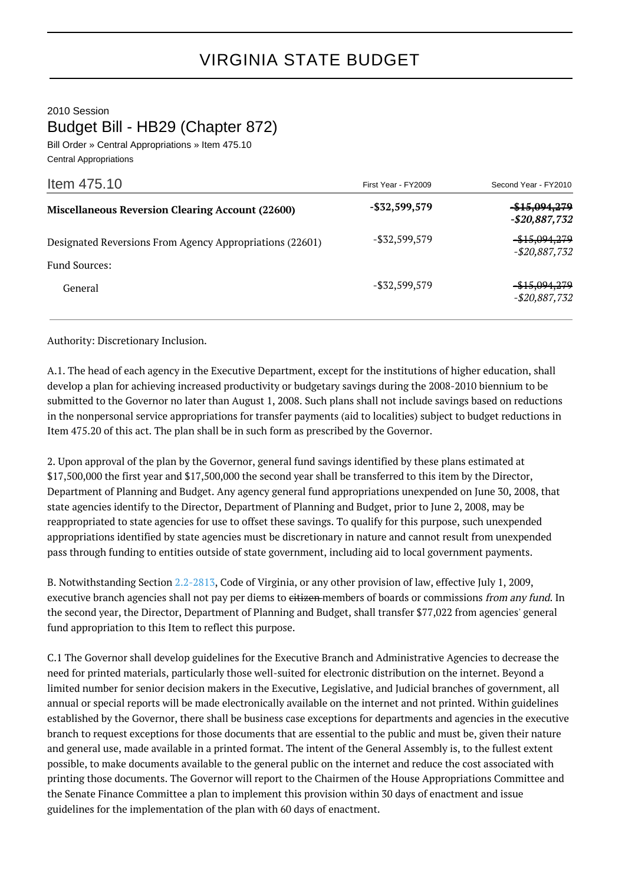2010 Session

Budget Bill - HB29 (Chapter 872)

Bill Order » Central Appropriations » Item 475.10 Central Appropriations

| Item 475.10                                                               | First Year - FY2009 | Second Year - FY2010                       |
|---------------------------------------------------------------------------|---------------------|--------------------------------------------|
| <b>Miscellaneous Reversion Clearing Account (22600)</b>                   | $-$ \$32,599,579    | <del>-\$15,094,279</del><br>-\$20,887,732  |
| Designated Reversions From Agency Appropriations (22601)<br>Fund Sources: | $-$ \$32,599,579    | -\$15,094,279<br>$-$20,887,732$            |
| General                                                                   | $-$ \$32,599,579    | <del>-\$15,094,279</del><br>$-$20,887,732$ |

Authority: Discretionary Inclusion.

A.1. The head of each agency in the Executive Department, except for the institutions of higher education, shall develop a plan for achieving increased productivity or budgetary savings during the 2008-2010 biennium to be submitted to the Governor no later than August 1, 2008. Such plans shall not include savings based on reductions in the nonpersonal service appropriations for transfer payments (aid to localities) subject to budget reductions in Item 475.20 of this act. The plan shall be in such form as prescribed by the Governor.

2. Upon approval of the plan by the Governor, general fund savings identified by these plans estimated at \$17,500,000 the first year and \$17,500,000 the second year shall be transferred to this item by the Director, Department of Planning and Budget. Any agency general fund appropriations unexpended on June 30, 2008, that state agencies identify to the Director, Department of Planning and Budget, prior to June 2, 2008, may be reappropriated to state agencies for use to offset these savings. To qualify for this purpose, such unexpended appropriations identified by state agencies must be discretionary in nature and cannot result from unexpended pass through funding to entities outside of state government, including aid to local government payments.

B. Notwithstanding Section [2.2-2813,](http://law.lis.virginia.gov/vacode/2.2-2813/) Code of Virginia, or any other provision of law, effective July 1, 2009, executive branch agencies shall not pay per diems to eitizen members of boards or commissions from any fund. In the second year, the Director, Department of Planning and Budget, shall transfer \$77,022 from agencies' general fund appropriation to this Item to reflect this purpose.

C.1 The Governor shall develop guidelines for the Executive Branch and Administrative Agencies to decrease the need for printed materials, particularly those well-suited for electronic distribution on the internet. Beyond a limited number for senior decision makers in the Executive, Legislative, and Judicial branches of government, all annual or special reports will be made electronically available on the internet and not printed. Within guidelines established by the Governor, there shall be business case exceptions for departments and agencies in the executive branch to request exceptions for those documents that are essential to the public and must be, given their nature and general use, made available in a printed format. The intent of the General Assembly is, to the fullest extent possible, to make documents available to the general public on the internet and reduce the cost associated with printing those documents. The Governor will report to the Chairmen of the House Appropriations Committee and the Senate Finance Committee a plan to implement this provision within 30 days of enactment and issue guidelines for the implementation of the plan with 60 days of enactment.